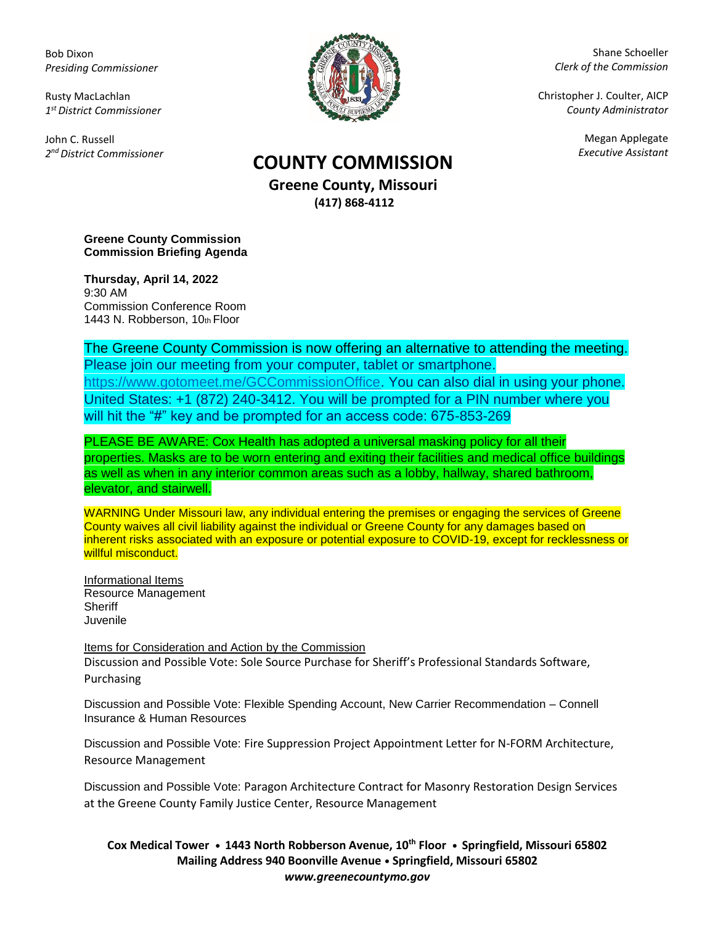Bob Dixon *Presiding Commissioner*

Rusty MacLachlan *1 st District Commissioner*

John C. Russell *2 nd District Commissioner*



Shane Schoeller *Clerk of the Commission*

Christopher J. Coulter, AICP *County Administrator*

Megan Applegate

## *Executive Assistant* **COUNTY COMMISSION**

**Greene County, Missouri (417) 868-4112**

**Greene County Commission Commission Briefing Agenda** 

**Thursday, April 14, 2022** 9:30 AM Commission Conference Room 1443 N. Robberson, 10th Floor

The Greene County Commission is now offering an alternative to attending the meeting. Please join our meeting from your computer, tablet or smartphone. [https://www.gotomeet.me/GCCommissionOffice.](https://www.gotomeet.me/GCCommissionOffice) You can also dial in using your phone. United States: +1 (872) 240-3412. You will be prompted for a PIN number where you will hit the "#" key and be prompted for an access code: 675-853-269

PLEASE BE AWARE: Cox Health has adopted a universal masking policy for all their properties. Masks are to be worn entering and exiting their facilities and medical office buildings as well as when in any interior common areas such as a lobby, hallway, shared bathroom, elevator, and stairwell.

WARNING Under Missouri law, any individual entering the premises or engaging the services of Greene County waives all civil liability against the individual or Greene County for any damages based on inherent risks associated with an exposure or potential exposure to COVID-19, except for recklessness or willful misconduct.

Informational Items Resource Management **Sheriff** Juvenile

Items for Consideration and Action by the Commission Discussion and Possible Vote: Sole Source Purchase for Sheriff's Professional Standards Software, Purchasing

Discussion and Possible Vote: Flexible Spending Account, New Carrier Recommendation – Connell Insurance & Human Resources

Discussion and Possible Vote: Fire Suppression Project Appointment Letter for N-FORM Architecture, Resource Management

Discussion and Possible Vote: Paragon Architecture Contract for Masonry Restoration Design Services at the Greene County Family Justice Center, Resource Management

**Cox Medical Tower • 1443 North Robberson Avenue, 10th Floor • Springfield, Missouri 65802 Mailing Address 940 Boonville Avenue • Springfield, Missouri 65802** *www.greenecountymo.gov*